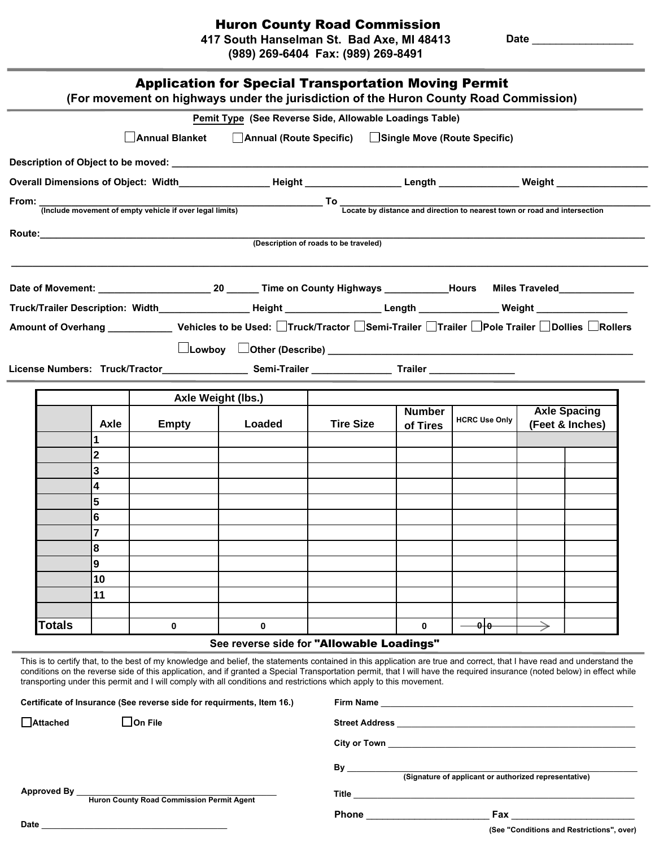Huron County Road Commissio n

**417 South Hanselman St. Bad Axe, MI 48413 (989) 269-6404 Fax: (989) 269-8491**

**Date** \_\_\_\_\_\_\_\_\_\_\_\_\_\_\_\_\_

| Annual Blanket<br>□ Annual (Route Specific) □ Single Move (Route Specific)<br>(Include movement of empty vehicle if over legal limits)<br>(Include movement of empty vehicle if over legal limits)<br><b>Route: Route: Route: Property</b><br>(Description of roads to be traveled)<br>Axle Weight (lbs.)<br><b>Axle Spacing</b><br><b>Number</b><br><b>HCRC Use Only</b><br><b>Tire Size</b><br>Axle<br>Loaded<br><b>Empty</b><br>(Feet & Inches)<br>of Tires<br>1<br>$\overline{\mathbf{2}}$<br>3<br>4<br>5<br>6<br>8<br>9<br>10<br>11<br><b>Totals</b><br>⊕⊦⊕<br>$\Rightarrow$<br>0<br>0<br>$\bf{0}$<br>See reverse side for "Allowable Loadings" |                    |  | Pemit Type (See Reverse Side, Allowable Loadings Table) |  |  |  |
|------------------------------------------------------------------------------------------------------------------------------------------------------------------------------------------------------------------------------------------------------------------------------------------------------------------------------------------------------------------------------------------------------------------------------------------------------------------------------------------------------------------------------------------------------------------------------------------------------------------------------------------------------|--------------------|--|---------------------------------------------------------|--|--|--|
|                                                                                                                                                                                                                                                                                                                                                                                                                                                                                                                                                                                                                                                      |                    |  |                                                         |  |  |  |
| Overall Dimensions of Object: Width__________________Height _____________________Length _______________Weight _________________________                                                                                                                                                                                                                                                                                                                                                                                                                                                                                                              |                    |  |                                                         |  |  |  |
|                                                                                                                                                                                                                                                                                                                                                                                                                                                                                                                                                                                                                                                      |                    |  |                                                         |  |  |  |
|                                                                                                                                                                                                                                                                                                                                                                                                                                                                                                                                                                                                                                                      | From:              |  |                                                         |  |  |  |
|                                                                                                                                                                                                                                                                                                                                                                                                                                                                                                                                                                                                                                                      |                    |  |                                                         |  |  |  |
| Amount of Overhang _______________ Vehicles to be Used: □Truck/Tractor □Semi-Trailer □Trailer □Pole Trailer □Dollies □Rollers                                                                                                                                                                                                                                                                                                                                                                                                                                                                                                                        |                    |  |                                                         |  |  |  |
|                                                                                                                                                                                                                                                                                                                                                                                                                                                                                                                                                                                                                                                      |                    |  |                                                         |  |  |  |
|                                                                                                                                                                                                                                                                                                                                                                                                                                                                                                                                                                                                                                                      |                    |  |                                                         |  |  |  |
|                                                                                                                                                                                                                                                                                                                                                                                                                                                                                                                                                                                                                                                      |                    |  |                                                         |  |  |  |
|                                                                                                                                                                                                                                                                                                                                                                                                                                                                                                                                                                                                                                                      |                    |  |                                                         |  |  |  |
|                                                                                                                                                                                                                                                                                                                                                                                                                                                                                                                                                                                                                                                      |                    |  |                                                         |  |  |  |
|                                                                                                                                                                                                                                                                                                                                                                                                                                                                                                                                                                                                                                                      |                    |  |                                                         |  |  |  |
|                                                                                                                                                                                                                                                                                                                                                                                                                                                                                                                                                                                                                                                      |                    |  |                                                         |  |  |  |
|                                                                                                                                                                                                                                                                                                                                                                                                                                                                                                                                                                                                                                                      |                    |  |                                                         |  |  |  |
|                                                                                                                                                                                                                                                                                                                                                                                                                                                                                                                                                                                                                                                      |                    |  |                                                         |  |  |  |
|                                                                                                                                                                                                                                                                                                                                                                                                                                                                                                                                                                                                                                                      |                    |  |                                                         |  |  |  |
|                                                                                                                                                                                                                                                                                                                                                                                                                                                                                                                                                                                                                                                      |                    |  |                                                         |  |  |  |
|                                                                                                                                                                                                                                                                                                                                                                                                                                                                                                                                                                                                                                                      |                    |  |                                                         |  |  |  |
|                                                                                                                                                                                                                                                                                                                                                                                                                                                                                                                                                                                                                                                      |                    |  |                                                         |  |  |  |
|                                                                                                                                                                                                                                                                                                                                                                                                                                                                                                                                                                                                                                                      |                    |  |                                                         |  |  |  |
|                                                                                                                                                                                                                                                                                                                                                                                                                                                                                                                                                                                                                                                      |                    |  |                                                         |  |  |  |
|                                                                                                                                                                                                                                                                                                                                                                                                                                                                                                                                                                                                                                                      |                    |  |                                                         |  |  |  |
|                                                                                                                                                                                                                                                                                                                                                                                                                                                                                                                                                                                                                                                      |                    |  |                                                         |  |  |  |
|                                                                                                                                                                                                                                                                                                                                                                                                                                                                                                                                                                                                                                                      |                    |  |                                                         |  |  |  |
|                                                                                                                                                                                                                                                                                                                                                                                                                                                                                                                                                                                                                                                      |                    |  |                                                         |  |  |  |
|                                                                                                                                                                                                                                                                                                                                                                                                                                                                                                                                                                                                                                                      |                    |  |                                                         |  |  |  |
|                                                                                                                                                                                                                                                                                                                                                                                                                                                                                                                                                                                                                                                      |                    |  |                                                         |  |  |  |
|                                                                                                                                                                                                                                                                                                                                                                                                                                                                                                                                                                                                                                                      |                    |  |                                                         |  |  |  |
| This is to certify that, to the best of my knowledge and belief, the statements contained in this application are true and correct, that I have read and understand the<br>conditions on the reverse side of this application, and if granted a Special Transportation permit, that I will have the required insurance (noted below) in effect while                                                                                                                                                                                                                                                                                                 |                    |  |                                                         |  |  |  |
| transporting under this permit and I will comply with all conditions and restrictions which apply to this movement.                                                                                                                                                                                                                                                                                                                                                                                                                                                                                                                                  |                    |  |                                                         |  |  |  |
| Certificate of Insurance (See reverse side for requirments, Item 16.)                                                                                                                                                                                                                                                                                                                                                                                                                                                                                                                                                                                | $\Box$ Attached    |  |                                                         |  |  |  |
| $\Box$ On File                                                                                                                                                                                                                                                                                                                                                                                                                                                                                                                                                                                                                                       |                    |  |                                                         |  |  |  |
|                                                                                                                                                                                                                                                                                                                                                                                                                                                                                                                                                                                                                                                      |                    |  |                                                         |  |  |  |
|                                                                                                                                                                                                                                                                                                                                                                                                                                                                                                                                                                                                                                                      |                    |  |                                                         |  |  |  |
|                                                                                                                                                                                                                                                                                                                                                                                                                                                                                                                                                                                                                                                      |                    |  |                                                         |  |  |  |
| <b>Huron County Road Commission Permit Agent</b>                                                                                                                                                                                                                                                                                                                                                                                                                                                                                                                                                                                                     | <b>Approved By</b> |  |                                                         |  |  |  |